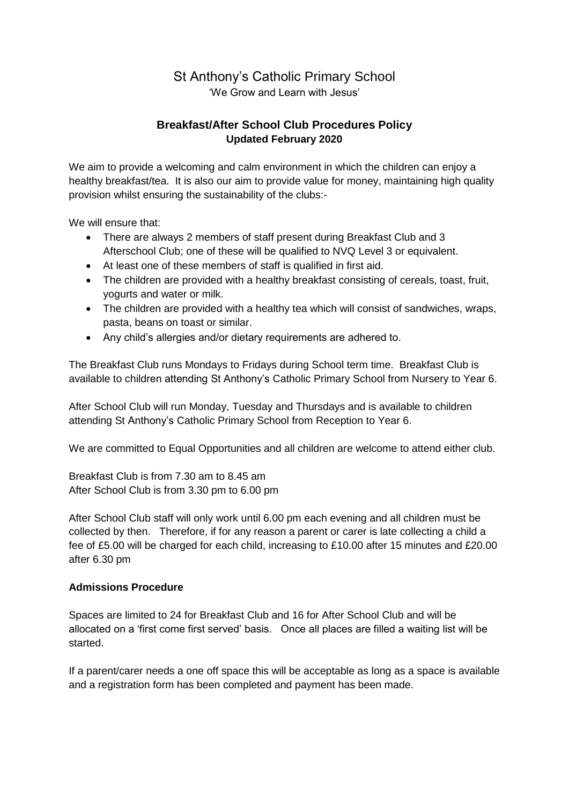# St Anthony's Catholic Primary School

'We Grow and Learn with Jesus'

# **Breakfast/After School Club Procedures Policy Updated February 2020**

We aim to provide a welcoming and calm environment in which the children can enjoy a healthy breakfast/tea. It is also our aim to provide value for money, maintaining high quality provision whilst ensuring the sustainability of the clubs:-

We will ensure that:

- There are always 2 members of staff present during Breakfast Club and 3 Afterschool Club; one of these will be qualified to NVQ Level 3 or equivalent.
- At least one of these members of staff is qualified in first aid.
- The children are provided with a healthy breakfast consisting of cereals, toast, fruit, yogurts and water or milk.
- The children are provided with a healthy tea which will consist of sandwiches, wraps, pasta, beans on toast or similar.
- Any child's allergies and/or dietary requirements are adhered to.

The Breakfast Club runs Mondays to Fridays during School term time. Breakfast Club is available to children attending St Anthony's Catholic Primary School from Nursery to Year 6.

After School Club will run Monday, Tuesday and Thursdays and is available to children attending St Anthony's Catholic Primary School from Reception to Year 6.

We are committed to Equal Opportunities and all children are welcome to attend either club.

Breakfast Club is from 7.30 am to 8.45 am After School Club is from 3.30 pm to 6.00 pm

After School Club staff will only work until 6.00 pm each evening and all children must be collected by then. Therefore, if for any reason a parent or carer is late collecting a child a fee of £5.00 will be charged for each child, increasing to £10.00 after 15 minutes and £20.00 after 6.30 pm

#### **Admissions Procedure**

Spaces are limited to 24 for Breakfast Club and 16 for After School Club and will be allocated on a 'first come first served' basis. Once all places are filled a waiting list will be started.

If a parent/carer needs a one off space this will be acceptable as long as a space is available and a registration form has been completed and payment has been made.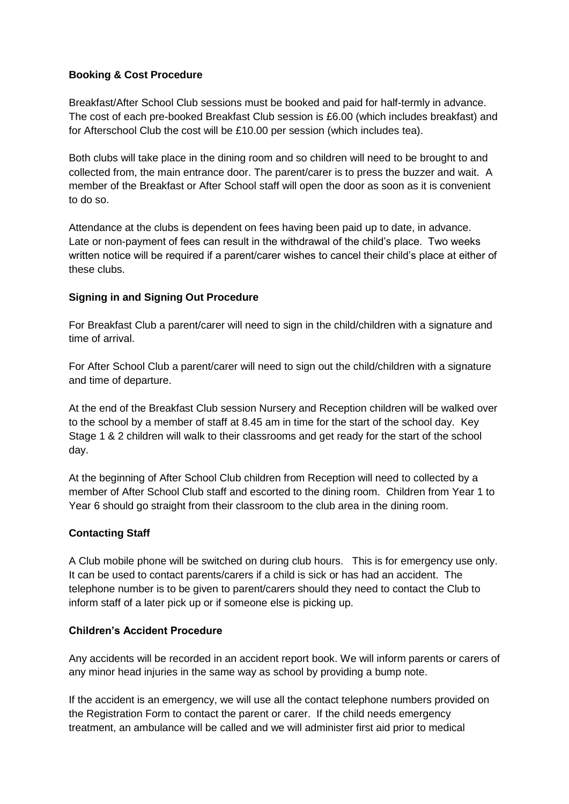# **Booking & Cost Procedure**

Breakfast/After School Club sessions must be booked and paid for half-termly in advance. The cost of each pre-booked Breakfast Club session is £6.00 (which includes breakfast) and for Afterschool Club the cost will be £10.00 per session (which includes tea).

Both clubs will take place in the dining room and so children will need to be brought to and collected from, the main entrance door. The parent/carer is to press the buzzer and wait. A member of the Breakfast or After School staff will open the door as soon as it is convenient to do so.

Attendance at the clubs is dependent on fees having been paid up to date, in advance. Late or non-payment of fees can result in the withdrawal of the child's place. Two weeks written notice will be required if a parent/carer wishes to cancel their child's place at either of these clubs.

## **Signing in and Signing Out Procedure**

For Breakfast Club a parent/carer will need to sign in the child/children with a signature and time of arrival.

For After School Club a parent/carer will need to sign out the child/children with a signature and time of departure.

At the end of the Breakfast Club session Nursery and Reception children will be walked over to the school by a member of staff at 8.45 am in time for the start of the school day. Key Stage 1 & 2 children will walk to their classrooms and get ready for the start of the school day.

At the beginning of After School Club children from Reception will need to collected by a member of After School Club staff and escorted to the dining room. Children from Year 1 to Year 6 should go straight from their classroom to the club area in the dining room.

# **Contacting Staff**

A Club mobile phone will be switched on during club hours. This is for emergency use only. It can be used to contact parents/carers if a child is sick or has had an accident. The telephone number is to be given to parent/carers should they need to contact the Club to inform staff of a later pick up or if someone else is picking up.

#### **Children's Accident Procedure**

Any accidents will be recorded in an accident report book. We will inform parents or carers of any minor head injuries in the same way as school by providing a bump note.

If the accident is an emergency, we will use all the contact telephone numbers provided on the Registration Form to contact the parent or carer. If the child needs emergency treatment, an ambulance will be called and we will administer first aid prior to medical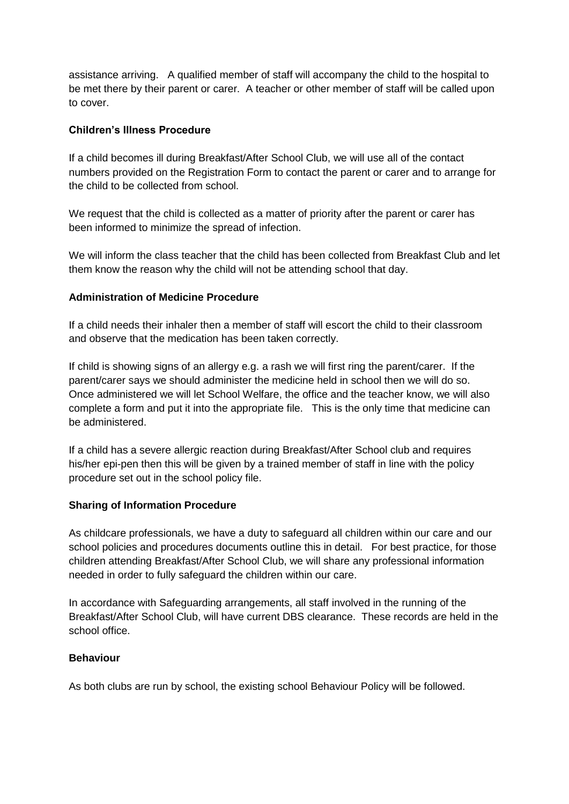assistance arriving. A qualified member of staff will accompany the child to the hospital to be met there by their parent or carer. A teacher or other member of staff will be called upon to cover.

## **Children's Illness Procedure**

If a child becomes ill during Breakfast/After School Club, we will use all of the contact numbers provided on the Registration Form to contact the parent or carer and to arrange for the child to be collected from school.

We request that the child is collected as a matter of priority after the parent or carer has been informed to minimize the spread of infection.

We will inform the class teacher that the child has been collected from Breakfast Club and let them know the reason why the child will not be attending school that day.

#### **Administration of Medicine Procedure**

If a child needs their inhaler then a member of staff will escort the child to their classroom and observe that the medication has been taken correctly.

If child is showing signs of an allergy e.g. a rash we will first ring the parent/carer. If the parent/carer says we should administer the medicine held in school then we will do so. Once administered we will let School Welfare, the office and the teacher know, we will also complete a form and put it into the appropriate file. This is the only time that medicine can be administered.

If a child has a severe allergic reaction during Breakfast/After School club and requires his/her epi-pen then this will be given by a trained member of staff in line with the policy procedure set out in the school policy file.

#### **Sharing of Information Procedure**

As childcare professionals, we have a duty to safeguard all children within our care and our school policies and procedures documents outline this in detail. For best practice, for those children attending Breakfast/After School Club, we will share any professional information needed in order to fully safeguard the children within our care.

In accordance with Safeguarding arrangements, all staff involved in the running of the Breakfast/After School Club, will have current DBS clearance. These records are held in the school office.

#### **Behaviour**

As both clubs are run by school, the existing school Behaviour Policy will be followed.